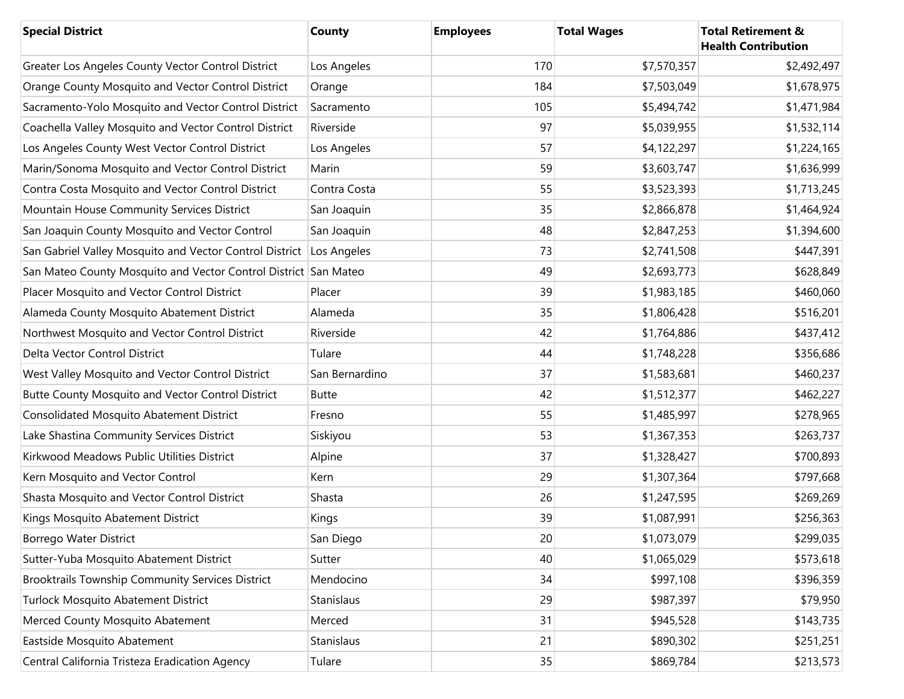| <b>Special District</b>                                         | County         | <b>Employees</b> | <b>Total Wages</b> | <b>Total Retirement &amp;</b><br><b>Health Contribution</b> |
|-----------------------------------------------------------------|----------------|------------------|--------------------|-------------------------------------------------------------|
| Greater Los Angeles County Vector Control District              | Los Angeles    | 170              | \$7,570,357        | \$2,492,497                                                 |
| Orange County Mosquito and Vector Control District              | Orange         | 184              | \$7,503,049        | \$1,678,975                                                 |
| Sacramento-Yolo Mosquito and Vector Control District            | Sacramento     | 105              | \$5,494,742        | \$1,471,984                                                 |
| Coachella Valley Mosquito and Vector Control District           | Riverside      | 97               | \$5,039,955        | \$1,532,114                                                 |
| Los Angeles County West Vector Control District                 | Los Angeles    | 57               | \$4,122,297        | \$1,224,165                                                 |
| Marin/Sonoma Mosquito and Vector Control District               | Marin          | 59               | \$3,603,747        | \$1,636,999                                                 |
| Contra Costa Mosquito and Vector Control District               | Contra Costa   | 55               | \$3,523,393        | \$1,713,245                                                 |
| Mountain House Community Services District                      | San Joaquin    | 35               | \$2,866,878        | \$1,464,924                                                 |
| San Joaquin County Mosquito and Vector Control                  | San Joaquin    | 48               | \$2,847,253        | \$1,394,600                                                 |
| San Gabriel Valley Mosquito and Vector Control District         | Los Angeles    | 73               | \$2,741,508        | \$447,391                                                   |
| San Mateo County Mosquito and Vector Control District San Mateo |                | 49               | \$2,693,773        | \$628,849                                                   |
| Placer Mosquito and Vector Control District                     | Placer         | 39               | \$1,983,185        | \$460,060                                                   |
| Alameda County Mosquito Abatement District                      | Alameda        | 35               | \$1,806,428        | \$516,201                                                   |
| Northwest Mosquito and Vector Control District                  | Riverside      | 42               | \$1,764,886        | \$437,412                                                   |
| Delta Vector Control District                                   | Tulare         | 44               | \$1,748,228        | \$356,686                                                   |
| West Valley Mosquito and Vector Control District                | San Bernardino | 37               | \$1,583,681        | \$460,237                                                   |
| Butte County Mosquito and Vector Control District               | <b>Butte</b>   | 42               | \$1,512,377        | \$462,227                                                   |
| Consolidated Mosquito Abatement District                        | Fresno         | 55               | \$1,485,997        | \$278,965                                                   |
| Lake Shastina Community Services District                       | Siskiyou       | 53               | \$1,367,353        | \$263,737                                                   |
| Kirkwood Meadows Public Utilities District                      | Alpine         | 37               | \$1,328,427        | \$700,893                                                   |
| Kern Mosquito and Vector Control                                | Kern           | 29               | \$1,307,364        | \$797,668                                                   |
| Shasta Mosquito and Vector Control District                     | Shasta         | 26               | \$1,247,595        | \$269,269                                                   |
| Kings Mosquito Abatement District                               | Kings          | 39               | \$1,087,991        | \$256,363                                                   |
| Borrego Water District                                          | San Diego      | 20               | \$1,073,079        | \$299,035                                                   |
| Sutter-Yuba Mosquito Abatement District                         | Sutter         | 40               | \$1,065,029        | \$573,618                                                   |
| Brooktrails Township Community Services District                | Mendocino      | 34               | \$997,108          | \$396,359                                                   |
| Turlock Mosquito Abatement District                             | Stanislaus     | 29               | \$987,397          | \$79,950                                                    |
| Merced County Mosquito Abatement                                | Merced         | 31               | \$945,528          | \$143,735                                                   |
| Eastside Mosquito Abatement                                     | Stanislaus     | 21               | \$890,302          | \$251,251                                                   |
| Central California Tristeza Eradication Agency                  | Tulare         | 35               | \$869,784          | \$213,573                                                   |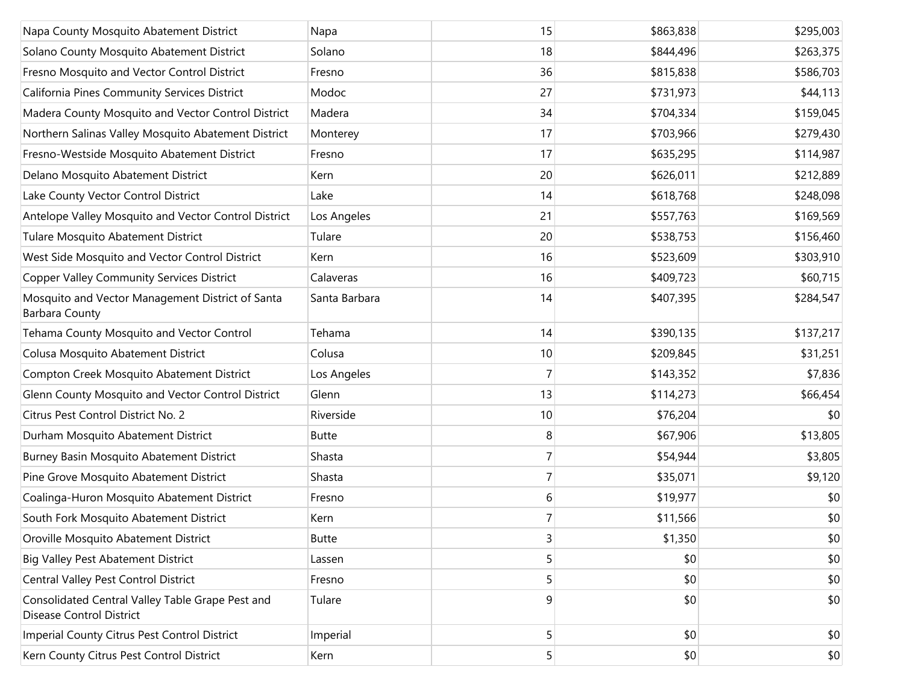| Napa County Mosquito Abatement District                                             | Napa          | 15 | \$863,838 | \$295,003 |
|-------------------------------------------------------------------------------------|---------------|----|-----------|-----------|
| Solano County Mosquito Abatement District                                           | Solano        | 18 | \$844,496 | \$263,375 |
| Fresno Mosquito and Vector Control District                                         | Fresno        | 36 | \$815,838 | \$586,703 |
| California Pines Community Services District                                        | Modoc         | 27 | \$731,973 | \$44,113  |
| Madera County Mosquito and Vector Control District                                  | Madera        | 34 | \$704,334 | \$159,045 |
| Northern Salinas Valley Mosquito Abatement District                                 | Monterey      | 17 | \$703,966 | \$279,430 |
| Fresno-Westside Mosquito Abatement District                                         | Fresno        | 17 | \$635,295 | \$114,987 |
| Delano Mosquito Abatement District                                                  | Kern          | 20 | \$626,011 | \$212,889 |
| Lake County Vector Control District                                                 | Lake          | 14 | \$618,768 | \$248,098 |
| Antelope Valley Mosquito and Vector Control District                                | Los Angeles   | 21 | \$557,763 | \$169,569 |
| Tulare Mosquito Abatement District                                                  | Tulare        | 20 | \$538,753 | \$156,460 |
| West Side Mosquito and Vector Control District                                      | Kern          | 16 | \$523,609 | \$303,910 |
| <b>Copper Valley Community Services District</b>                                    | Calaveras     | 16 | \$409,723 | \$60,715  |
| Mosquito and Vector Management District of Santa<br><b>Barbara County</b>           | Santa Barbara | 14 | \$407,395 | \$284,547 |
| Tehama County Mosquito and Vector Control                                           | Tehama        | 14 | \$390,135 | \$137,217 |
| Colusa Mosquito Abatement District                                                  | Colusa        | 10 | \$209,845 | \$31,251  |
| Compton Creek Mosquito Abatement District                                           | Los Angeles   | 7  | \$143,352 | \$7,836   |
| Glenn County Mosquito and Vector Control District                                   | Glenn         | 13 | \$114,273 | \$66,454  |
| Citrus Pest Control District No. 2                                                  | Riverside     | 10 | \$76,204  | \$0       |
| Durham Mosquito Abatement District                                                  | <b>Butte</b>  | 8  | \$67,906  | \$13,805  |
| Burney Basin Mosquito Abatement District                                            | Shasta        | 7  | \$54,944  | \$3,805   |
| Pine Grove Mosquito Abatement District                                              | Shasta        | 7  | \$35,071  | \$9,120   |
| Coalinga-Huron Mosquito Abatement District                                          | Fresno        | 6  | \$19,977  | \$0       |
| South Fork Mosquito Abatement District                                              | Kern          | 7  | \$11,566  | \$0       |
| Oroville Mosquito Abatement District                                                | <b>Butte</b>  | 3  | \$1,350   | \$0       |
| <b>Big Valley Pest Abatement District</b>                                           | Lassen        | 5  | \$0       | \$0       |
| Central Valley Pest Control District                                                | Fresno        | 5  | \$0       | \$0       |
| Consolidated Central Valley Table Grape Pest and<br><b>Disease Control District</b> | Tulare        | 9  | \$0       | \$0       |
| Imperial County Citrus Pest Control District                                        | Imperial      | 5  | \$0       | \$0       |
| Kern County Citrus Pest Control District                                            | Kern          | 5  | \$0       | \$0       |